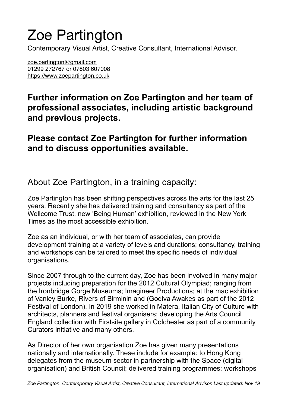## Zoe Partington

Contemporary Visual Artist, Creative Consultant, International Advisor.

[zoe.partington@gmail.com](mailto:zoe.partington@gmail.com) 01299 272767 or 07803 607008 <https://www.zoepartington.co.uk>

**Further information on Zoe Partington and her team of professional associates, including artistic background and previous projects.** 

## **Please contact Zoe Partington for further information and to discuss opportunities available.**

About Zoe Partington, in a training capacity:

Zoe Partington has been shifting perspectives across the arts for the last 25 years. Recently she has delivered training and consultancy as part of the Wellcome Trust, new 'Being Human' exhibition, reviewed in the New York Times as the most accessible exhibition.

Zoe as an individual, or with her team of associates, can provide development training at a variety of levels and durations; consultancy, training and workshops can be tailored to meet the specific needs of individual organisations.

Since 2007 through to the current day, Zoe has been involved in many major projects including preparation for the 2012 Cultural Olympiad; ranging from the Ironbridge Gorge Museums; Imagineer Productions; at the mac exhibition of Vanley Burke, Rivers of Birminin and (Godiva Awakes as part of the 2012 Festival of London). In 2019 she worked in Matera, Italian City of Culture with architects, planners and festival organisers; developing the Arts Council England collection with Firstsite gallery in Colchester as part of a community Curators initiative and many others.

As Director of her own organisation Zoe has given many presentations nationally and internationally. These include for example: to Hong Kong delegates from the museum sector in partnership with the Space (digital organisation) and British Council; delivered training programmes; workshops